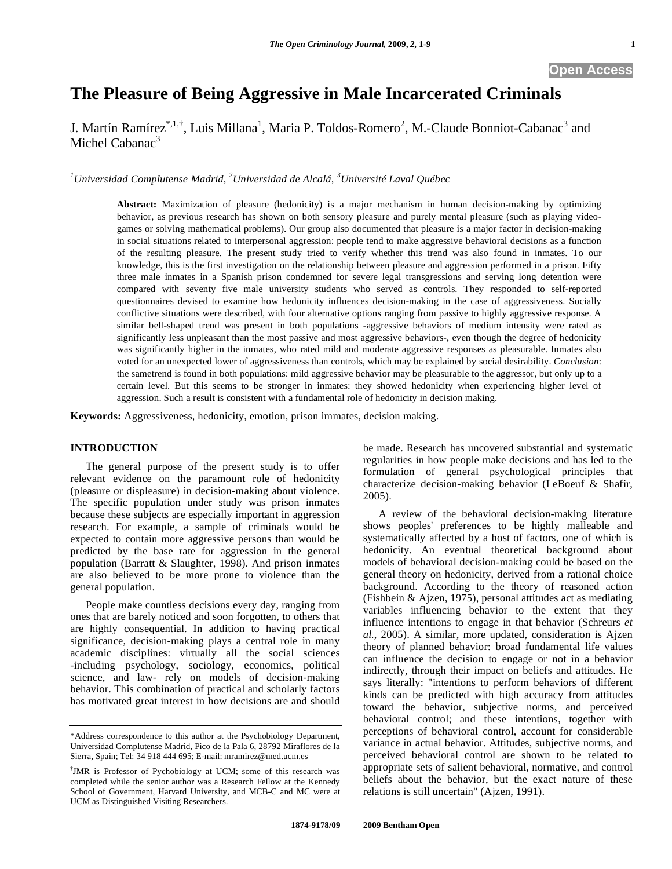# **The Pleasure of Being Aggressive in Male Incarcerated Criminals**

J. Martín Ramírez<sup>\*,1,†</sup>, Luis Millana<sup>1</sup>, Maria P. Toldos-Romero<sup>2</sup>, M.-Claude Bonniot-Cabanac<sup>3</sup> and Michel Cabanac<sup>3</sup>

<sup>1</sup>Universidad Complutense Madrid, <sup>2</sup>Universidad de Alcalá, <sup>3</sup>Université Laval Québec

**Abstract:** Maximization of pleasure (hedonicity) is a major mechanism in human decision-making by optimizing behavior, as previous research has shown on both sensory pleasure and purely mental pleasure (such as playing videogames or solving mathematical problems). Our group also documented that pleasure is a major factor in decision-making in social situations related to interpersonal aggression: people tend to make aggressive behavioral decisions as a function of the resulting pleasure. The present study tried to verify whether this trend was also found in inmates. To our knowledge, this is the first investigation on the relationship between pleasure and aggression performed in a prison. Fifty three male inmates in a Spanish prison condemned for severe legal transgressions and serving long detention were compared with seventy five male university students who served as controls. They responded to self-reported questionnaires devised to examine how hedonicity influences decision-making in the case of aggressiveness. Socially conflictive situations were described, with four alternative options ranging from passive to highly aggressive response. A similar bell-shaped trend was present in both populations -aggressive behaviors of medium intensity were rated as significantly less unpleasant than the most passive and most aggressive behaviors-, even though the degree of hedonicity was significantly higher in the inmates, who rated mild and moderate aggressive responses as pleasurable. Inmates also voted for an unexpected lower of aggressiveness than controls, which may be explained by social desirability. *Conclusion*: the sametrend is found in both populations: mild aggressive behavior may be pleasurable to the aggressor, but only up to a certain level. But this seems to be stronger in inmates: they showed hedonicity when experiencing higher level of aggression. Such a result is consistent with a fundamental role of hedonicity in decision making.

**Keywords:** Aggressiveness, hedonicity, emotion, prison immates, decision making.

#### **INTRODUCTION**

 The general purpose of the present study is to offer relevant evidence on the paramount role of hedonicity (pleasure or displeasure) in decision-making about violence. The specific population under study was prison inmates because these subjects are especially important in aggression research. For example, a sample of criminals would be expected to contain more aggressive persons than would be predicted by the base rate for aggression in the general population (Barratt & Slaughter, 1998). And prison inmates are also believed to be more prone to violence than the general population.

 People make countless decisions every day, ranging from ones that are barely noticed and soon forgotten, to others that are highly consequential. In addition to having practical significance, decision-making plays a central role in many academic disciplines: virtually all the social sciences -including psychology, sociology, economics, political science, and law- rely on models of decision-making behavior. This combination of practical and scholarly factors has motivated great interest in how decisions are and should

be made. Research has uncovered substantial and systematic regularities in how people make decisions and has led to the formulation of general psychological principles that characterize decision-making behavior (LeBoeuf & Shafir, 2005).

 A review of the behavioral decision-making literature shows peoples' preferences to be highly malleable and systematically affected by a host of factors, one of which is hedonicity. An eventual theoretical background about models of behavioral decision-making could be based on the general theory on hedonicity, derived from a rational choice background. According to the theory of reasoned action (Fishbein & Ajzen, 1975), personal attitudes act as mediating variables influencing behavior to the extent that they influence intentions to engage in that behavior (Schreurs *et al.*, 2005). A similar, more updated, consideration is Ajzen theory of planned behavior: broad fundamental life values can influence the decision to engage or not in a behavior indirectly, through their impact on beliefs and attitudes. He says literally: "intentions to perform behaviors of different kinds can be predicted with high accuracy from attitudes toward the behavior, subjective norms, and perceived behavioral control; and these intentions, together with perceptions of behavioral control, account for considerable variance in actual behavior. Attitudes, subjective norms, and perceived behavioral control are shown to be related to appropriate sets of salient behavioral, normative, and control beliefs about the behavior, but the exact nature of these relations is still uncertain" (Ajzen, 1991).

<sup>\*</sup>Address correspondence to this author at the Psychobiology Department, Universidad Complutense Madrid, Pico de la Pala 6, 28792 Miraflores de la Sierra, Spain; Tel: 34 918 444 695; E-mail: mramirez@med.ucm.es

<sup>†</sup> JMR is Professor of Pychobiology at UCM; some of this research was completed while the senior author was a Research Fellow at the Kennedy School of Government, Harvard University, and MCB-C and MC were at UCM as Distinguished Visiting Researchers.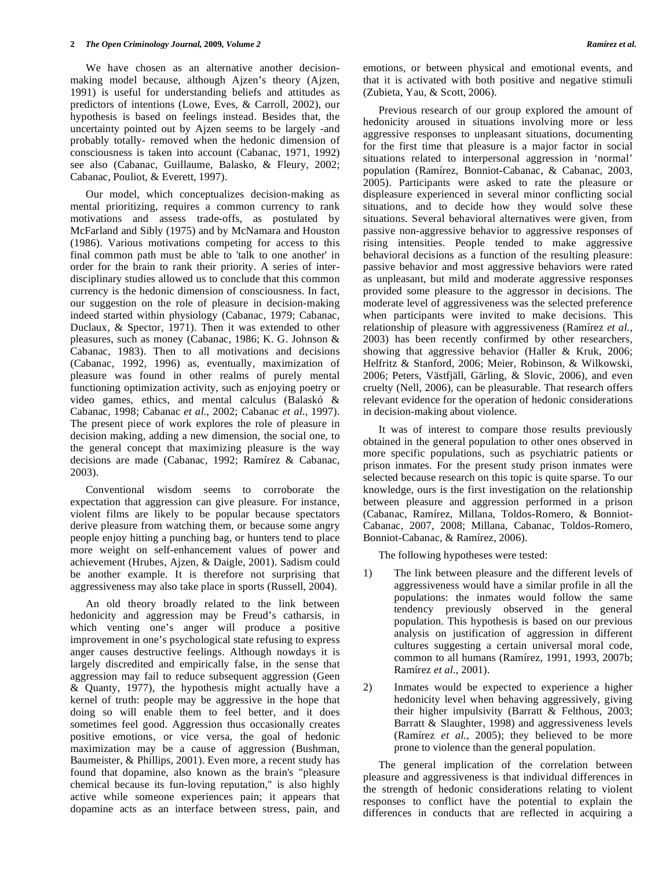We have chosen as an alternative another decisionmaking model because, although Ajzen's theory (Ajzen, 1991) is useful for understanding beliefs and attitudes as predictors of intentions (Lowe, Eves, & Carroll, 2002), our hypothesis is based on feelings instead. Besides that, the uncertainty pointed out by Ajzen seems to be largely -and probably totally- removed when the hedonic dimension of consciousness is taken into account (Cabanac, 1971, 1992) see also (Cabanac, Guillaume, Balasko, & Fleury, 2002; Cabanac, Pouliot, & Everett, 1997).

 Our model, which conceptualizes decision-making as mental prioritizing, requires a common currency to rank motivations and assess trade-offs, as postulated by McFarland and Sibly (1975) and by McNamara and Houston (1986). Various motivations competing for access to this final common path must be able to 'talk to one another' in order for the brain to rank their priority. A series of interdisciplinary studies allowed us to conclude that this common currency is the hedonic dimension of consciousness. In fact, our suggestion on the role of pleasure in decision-making indeed started within physiology (Cabanac, 1979; Cabanac, Duclaux, & Spector, 1971). Then it was extended to other pleasures, such as money (Cabanac, 1986; K. G. Johnson & Cabanac, 1983). Then to all motivations and decisions (Cabanac, 1992, 1996) as, eventually, maximization of pleasure was found in other realms of purely mental functioning optimization activity, such as enjoying poetry or video games, ethics, and mental calculus (Balaskó & Cabanac, 1998; Cabanac *et al.*, 2002; Cabanac *et al.*, 1997). The present piece of work explores the role of pleasure in decision making, adding a new dimension, the social one, to the general concept that maximizing pleasure is the way decisions are made (Cabanac, 1992; Ramírez & Cabanac, 2003).

 Conventional wisdom seems to corroborate the expectation that aggression can give pleasure. For instance, violent films are likely to be popular because spectators derive pleasure from watching them, or because some angry people enjoy hitting a punching bag, or hunters tend to place more weight on self-enhancement values of power and achievement (Hrubes, Ajzen, & Daigle, 2001). Sadism could be another example. It is therefore not surprising that aggressiveness may also take place in sports (Russell, 2004).

 An old theory broadly related to the link between hedonicity and aggression may be Freud's catharsis, in which venting one's anger will produce a positive improvement in one's psychological state refusing to express anger causes destructive feelings. Although nowdays it is largely discredited and empirically false, in the sense that aggression may fail to reduce subsequent aggression (Geen & Quanty, 1977), the hypothesis might actually have a kernel of truth: people may be aggressive in the hope that doing so will enable them to feel better, and it does sometimes feel good. Aggression thus occasionally creates positive emotions, or vice versa, the goal of hedonic maximization may be a cause of aggression (Bushman, Baumeister, & Phillips, 2001). Even more, a recent study has found that dopamine, also known as the brain's "pleasure chemical because its fun-loving reputation," is also highly active while someone experiences pain; it appears that dopamine acts as an interface between stress, pain, and

emotions, or between physical and emotional events, and that it is activated with both positive and negative stimuli (Zubieta, Yau, & Scott, 2006).

 Previous research of our group explored the amount of hedonicity aroused in situations involving more or less aggressive responses to unpleasant situations, documenting for the first time that pleasure is a major factor in social situations related to interpersonal aggression in 'normal' population (Ramírez, Bonniot-Cabanac, & Cabanac, 2003, 2005). Participants were asked to rate the pleasure or displeasure experienced in several minor conflicting social situations, and to decide how they would solve these situations. Several behavioral alternatives were given, from passive non-aggressive behavior to aggressive responses of rising intensities. People tended to make aggressive behavioral decisions as a function of the resulting pleasure: passive behavior and most aggressive behaviors were rated as unpleasant, but mild and moderate aggressive responses provided some pleasure to the aggressor in decisions. The moderate level of aggressiveness was the selected preference when participants were invited to make decisions. This relationship of pleasure with aggressiveness (Ramírez *et al.*, 2003) has been recently confirmed by other researchers, showing that aggressive behavior (Haller & Kruk, 2006; Helfritz & Stanford, 2006; Meier, Robinson, & Wilkowski, 2006; Peters, Västfjäll, Gärling, & Slovic, 2006), and even cruelty (Nell, 2006), can be pleasurable. That research offers relevant evidence for the operation of hedonic considerations in decision-making about violence.

 It was of interest to compare those results previously obtained in the general population to other ones observed in more specific populations, such as psychiatric patients or prison inmates. For the present study prison inmates were selected because research on this topic is quite sparse. To our knowledge, ours is the first investigation on the relationship between pleasure and aggression performed in a prison (Cabanac, Ramírez, Millana, Toldos-Romero, & Bonniot-Cabanac, 2007, 2008; Millana, Cabanac, Toldos-Romero, Bonniot-Cabanac, & Ramírez, 2006).

The following hypotheses were tested:

- 1) The link between pleasure and the different levels of aggressiveness would have a similar profile in all the populations: the inmates would follow the same tendency previously observed in the general population. This hypothesis is based on our previous analysis on justification of aggression in different cultures suggesting a certain universal moral code, common to all humans (Ramírez, 1991, 1993, 2007b; Ramírez *et al.*, 2001).
- 2) Inmates would be expected to experience a higher hedonicity level when behaving aggressively, giving their higher impulsivity (Barratt & Felthous, 2003; Barratt & Slaughter, 1998) and aggressiveness levels (Ramírez *et al.*, 2005); they believed to be more prone to violence than the general population.

 The general implication of the correlation between pleasure and aggressiveness is that individual differences in the strength of hedonic considerations relating to violent responses to conflict have the potential to explain the differences in conducts that are reflected in acquiring a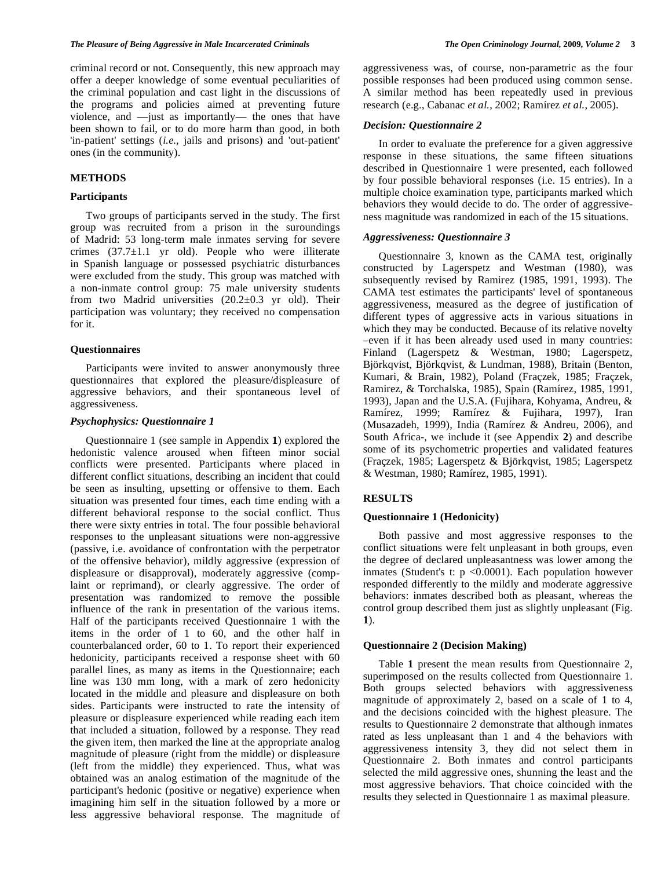criminal record or not. Consequently, this new approach may offer a deeper knowledge of some eventual peculiarities of the criminal population and cast light in the discussions of the programs and policies aimed at preventing future violence, and —just as importantly— the ones that have been shown to fail, or to do more harm than good, in both 'in-patient' settings (*i.e.,* jails and prisons) and 'out-patient' ones (in the community).

#### **METHODS**

#### **Participants**

 Two groups of participants served in the study. The first group was recruited from a prison in the suroundings of Madrid: 53 long-term male inmates serving for severe crimes  $(37.7\pm1.1 \text{ yr}$  old). People who were illiterate in Spanish language or possessed psychiatric disturbances were excluded from the study. This group was matched with a non-inmate control group: 75 male university students from two Madrid universities  $(20.2\pm0.3 \text{ yr}$  old). Their participation was voluntary; they received no compensation for it.

#### **Questionnaires**

 Participants were invited to answer anonymously three questionnaires that explored the pleasure/displeasure of aggressive behaviors, and their spontaneous level of aggressiveness.

#### *Psychophysics: Questionnaire 1*

 Questionnaire 1 (see sample in Appendix **1**) explored the hedonistic valence aroused when fifteen minor social conflicts were presented. Participants where placed in different conflict situations, describing an incident that could be seen as insulting, upsetting or offensive to them. Each situation was presented four times, each time ending with a different behavioral response to the social conflict. Thus there were sixty entries in total. The four possible behavioral responses to the unpleasant situations were non-aggressive (passive, i.e. avoidance of confrontation with the perpetrator of the offensive behavior), mildly aggressive (expression of displeasure or disapproval), moderately aggressive (complaint or reprimand), or clearly aggressive. The order of presentation was randomized to remove the possible influence of the rank in presentation of the various items. Half of the participants received Questionnaire 1 with the items in the order of 1 to 60, and the other half in counterbalanced order, 60 to 1. To report their experienced hedonicity, participants received a response sheet with 60 parallel lines, as many as items in the Questionnaire; each line was 130 mm long, with a mark of zero hedonicity located in the middle and pleasure and displeasure on both sides. Participants were instructed to rate the intensity of pleasure or displeasure experienced while reading each item that included a situation, followed by a response. They read the given item, then marked the line at the appropriate analog magnitude of pleasure (right from the middle) or displeasure (left from the middle) they experienced. Thus, what was obtained was an analog estimation of the magnitude of the participant's hedonic (positive or negative) experience when imagining him self in the situation followed by a more or less aggressive behavioral response. The magnitude of aggressiveness was, of course, non-parametric as the four possible responses had been produced using common sense. A similar method has been repeatedly used in previous research (e.g., Cabanac *et al.*, 2002; Ramírez *et al.,* 2005).

#### *Decision: Questionnaire 2*

 In order to evaluate the preference for a given aggressive response in these situations, the same fifteen situations described in Questionnaire 1 were presented, each followed by four possible behavioral responses (i.e. 15 entries). In a multiple choice examination type, participants marked which behaviors they would decide to do. The order of aggressiveness magnitude was randomized in each of the 15 situations.

#### *Aggressiveness: Questionnaire 3*

Questionnaire 3, known as the CAMA test, originally constructed by Lagerspetz and Westman (1980), was subsequently revised by Ramirez (1985, 1991, 1993). The CAMA test estimates the participants' level of spontaneous aggressiveness, measured as the degree of justification of different types of aggressive acts in various situations in which they may be conducted. Because of its relative novelty –even if it has been already used used in many countries: Finland (Lagerspetz & Westman, 1980; Lagerspetz, Björkqvist, Björkqvist, & Lundman, 1988), Britain (Benton, Kumari, & Brain, 1982), Poland (Fraçzek, 1985; Fraçzek, Ramirez, & Torchalska, 1985), Spain (Ramírez, 1985, 1991, 1993), Japan and the U.S.A. (Fujihara, Kohyama, Andreu, & Ramírez, 1999; Ramírez & Fujihara, 1997), Iran (Musazadeh, 1999), India (Ramírez & Andreu, 2006), and South Africa-, we include it (see Appendix **2**) and describe some of its psychometric properties and validated features (Fraçzek, 1985; Lagerspetz & Björkqvist, 1985; Lagerspetz & Westman, 1980; Ramírez, 1985, 1991).

#### **RESULTS**

#### **Questionnaire 1 (Hedonicity)**

 Both passive and most aggressive responses to the conflict situations were felt unpleasant in both groups, even the degree of declared unpleasantness was lower among the inmates (Student's t:  $p \le 0.0001$ ). Each population however responded differently to the mildly and moderate aggressive behaviors: inmates described both as pleasant, whereas the control group described them just as slightly unpleasant (Fig. **1**).

#### **Questionnaire 2 (Decision Making)**

 Table **1** present the mean results from Questionnaire 2, superimposed on the results collected from Questionnaire 1. Both groups selected behaviors with aggressiveness magnitude of approximately 2, based on a scale of 1 to 4, and the decisions coincided with the highest pleasure. The results to Questionnaire 2 demonstrate that although inmates rated as less unpleasant than 1 and 4 the behaviors with aggressiveness intensity 3, they did not select them in Questionnaire 2. Both inmates and control participants selected the mild aggressive ones, shunning the least and the most aggressive behaviors. That choice coincided with the results they selected in Questionnaire 1 as maximal pleasure.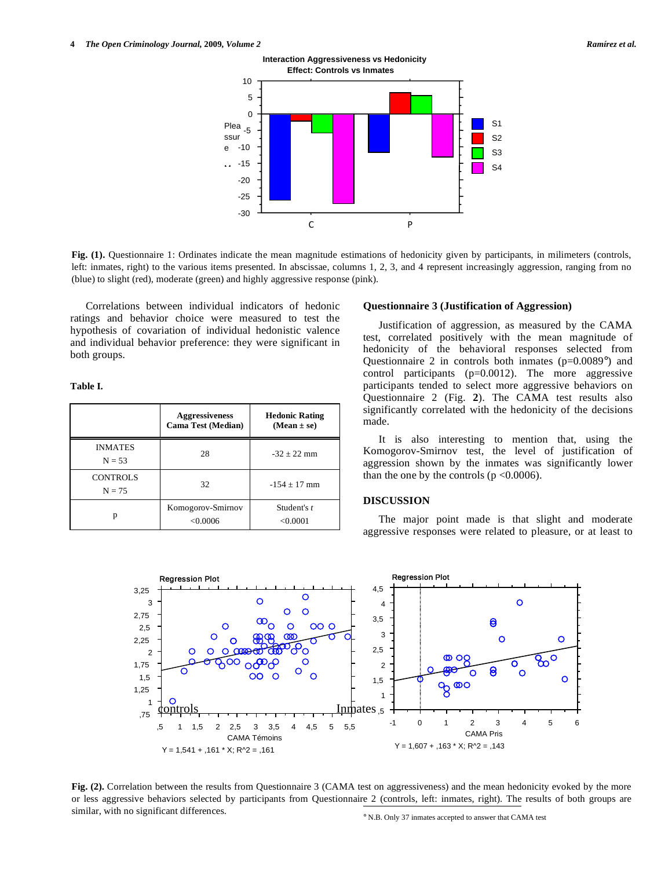

**Fig. (1).** Questionnaire 1: Ordinates indicate the mean magnitude estimations of hedonicity given by participants, in milimeters (controls, left: inmates, right) to the various items presented. In abscissae, columns 1, 2, 3, and 4 represent increasingly aggression, ranging from no (blue) to slight (red), moderate (green) and highly aggressive response (pink).

 Correlations between individual indicators of hedonic ratings and behavior choice were measured to test the hypothesis of covariation of individual hedonistic valence and individual behavior preference: they were significant in both groups.

**Table I.** 

|                             | <b>Aggressiveness</b><br><b>Cama Test (Median)</b> | <b>Hedonic Rating</b><br>$(Mean \pm se)$ |
|-----------------------------|----------------------------------------------------|------------------------------------------|
| <b>INMATES</b><br>$N = 53$  | 28                                                 | $-32 + 22$ mm                            |
| <b>CONTROLS</b><br>$N = 75$ | 32                                                 | $-154 + 17$ mm                           |
| р                           | Komogorov-Smirnov<br>< 0.0006                      | Student's t<br>< 0.0001                  |

#### **Questionnaire 3 (Justification of Aggression)**

 Justification of aggression, as measured by the CAMA test, correlated positively with the mean magnitude of hedonicity of the behavioral responses selected from Questionnaire 2 in controls both inmates (p=0.0089°) and control participants (p=0.0012). The more aggressive participants tended to select more aggressive behaviors on Questionnaire 2 (Fig. **2**). The CAMA test results also significantly correlated with the hedonicity of the decisions made.

 It is also interesting to mention that, using the Komogorov-Smirnov test, the level of justification of aggression shown by the inmates was significantly lower than the one by the controls ( $p \le 0.0006$ ).

#### **DISCUSSION**

 The major point made is that slight and moderate aggressive responses were related to pleasure, or at least to



or less aggressive behaviors selected by participants from Questionnaire 2 (controls, left: inmates, right). The results of both groups are similar with no significant differences **Fig. (2).** Correlation between the results from Questionnaire 3 (CAMA test on aggressiveness) and the mean hedonicity evoked by the more similar, with no significant differences.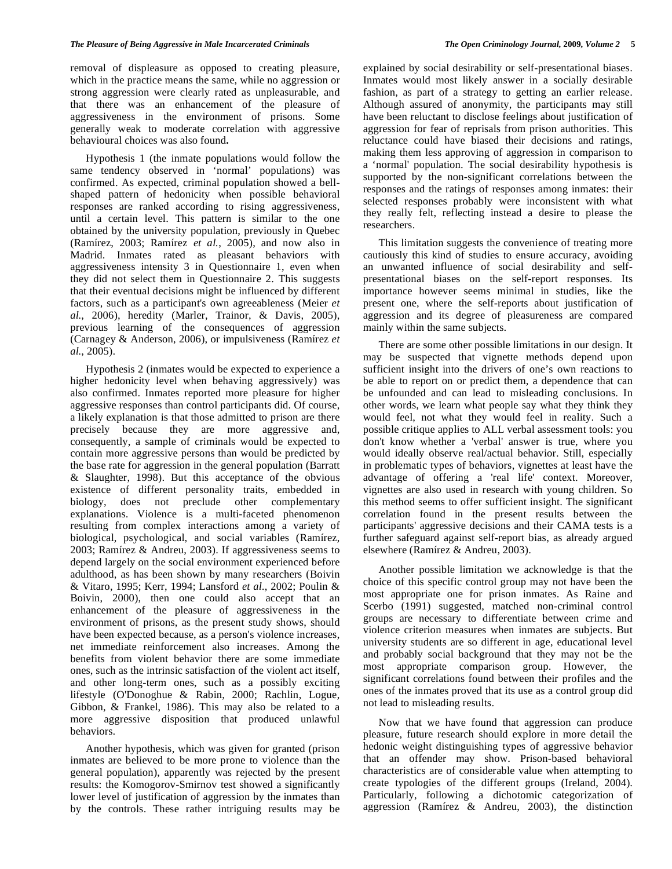removal of displeasure as opposed to creating pleasure, which in the practice means the same, while no aggression or strong aggression were clearly rated as unpleasurable, and that there was an enhancement of the pleasure of aggressiveness in the environment of prisons. Some generally weak to moderate correlation with aggressive behavioural choices was also found**.** 

 Hypothesis 1 (the inmate populations would follow the same tendency observed in 'normal' populations) was confirmed. As expected, criminal population showed a bellshaped pattern of hedonicity when possible behavioral responses are ranked according to rising aggressiveness, until a certain level. This pattern is similar to the one obtained by the university population, previously in Quebec (Ramírez, 2003; Ramírez *et al.*, 2005), and now also in Madrid. Inmates rated as pleasant behaviors with aggressiveness intensity 3 in Questionnaire 1, even when they did not select them in Questionnaire 2. This suggests that their eventual decisions might be influenced by different factors, such as a participant's own agreeableness (Meier *et al.*, 2006), heredity (Marler, Trainor, & Davis, 2005), previous learning of the consequences of aggression (Carnagey & Anderson, 2006), or impulsiveness (Ramírez *et al.*, 2005).

 Hypothesis 2 (inmates would be expected to experience a higher hedonicity level when behaving aggressively) was also confirmed. Inmates reported more pleasure for higher aggressive responses than control participants did. Of course, a likely explanation is that those admitted to prison are there precisely because they are more aggressive and, consequently, a sample of criminals would be expected to contain more aggressive persons than would be predicted by the base rate for aggression in the general population (Barratt & Slaughter, 1998). But this acceptance of the obvious existence of different personality traits, embedded in biology, does not preclude other complementary explanations. Violence is a multi-faceted phenomenon resulting from complex interactions among a variety of biological, psychological, and social variables (Ramírez, 2003; Ramírez & Andreu, 2003). If aggressiveness seems to depend largely on the social environment experienced before adulthood, as has been shown by many researchers (Boivin & Vitaro, 1995; Kerr, 1994; Lansford *et al.*, 2002; Poulin & Boivin, 2000), then one could also accept that an enhancement of the pleasure of aggressiveness in the environment of prisons, as the present study shows, should have been expected because, as a person's violence increases, net immediate reinforcement also increases. Among the benefits from violent behavior there are some immediate ones, such as the intrinsic satisfaction of the violent act itself, and other long-term ones, such as a possibly exciting lifestyle (O'Donoghue & Rabin, 2000; Rachlin, Logue, Gibbon, & Frankel, 1986). This may also be related to a more aggressive disposition that produced unlawful behaviors.

 Another hypothesis, which was given for granted (prison inmates are believed to be more prone to violence than the general population), apparently was rejected by the present results: the Komogorov-Smirnov test showed a significantly lower level of justification of aggression by the inmates than by the controls. These rather intriguing results may be

explained by social desirability or self-presentational biases. Inmates would most likely answer in a socially desirable fashion, as part of a strategy to getting an earlier release. Although assured of anonymity, the participants may still have been reluctant to disclose feelings about justification of aggression for fear of reprisals from prison authorities. This reluctance could have biased their decisions and ratings, making them less approving of aggression in comparison to a 'normal' population. The social desirability hypothesis is supported by the non-significant correlations between the responses and the ratings of responses among inmates: their selected responses probably were inconsistent with what they really felt, reflecting instead a desire to please the researchers.

 This limitation suggests the convenience of treating more cautiously this kind of studies to ensure accuracy, avoiding an unwanted influence of social desirability and selfpresentational biases on the self-report responses. Its importance however seems minimal in studies, like the present one, where the self-reports about justification of aggression and its degree of pleasureness are compared mainly within the same subjects.

 There are some other possible limitations in our design. It may be suspected that vignette methods depend upon sufficient insight into the drivers of one's own reactions to be able to report on or predict them, a dependence that can be unfounded and can lead to misleading conclusions. In other words, we learn what people say what they think they would feel, not what they would feel in reality. Such a possible critique applies to ALL verbal assessment tools: you don't know whether a 'verbal' answer is true, where you would ideally observe real/actual behavior. Still, especially in problematic types of behaviors, vignettes at least have the advantage of offering a 'real life' context. Moreover, vignettes are also used in research with young children. So this method seems to offer sufficient insight. The significant correlation found in the present results between the participants' aggressive decisions and their CAMA tests is a further safeguard against self-report bias, as already argued elsewhere (Ramírez & Andreu, 2003).

 Another possible limitation we acknowledge is that the choice of this specific control group may not have been the most appropriate one for prison inmates. As Raine and Scerbo (1991) suggested, matched non-criminal control groups are necessary to differentiate between crime and violence criterion measures when inmates are subjects. But university students are so different in age, educational level and probably social background that they may not be the most appropriate comparison group. However, the significant correlations found between their profiles and the ones of the inmates proved that its use as a control group did not lead to misleading results.

 Now that we have found that aggression can produce pleasure, future research should explore in more detail the hedonic weight distinguishing types of aggressive behavior that an offender may show. Prison-based behavioral characteristics are of considerable value when attempting to create typologies of the different groups (Ireland, 2004). Particularly, following a dichotomic categorization of aggression (Ramírez & Andreu, 2003), the distinction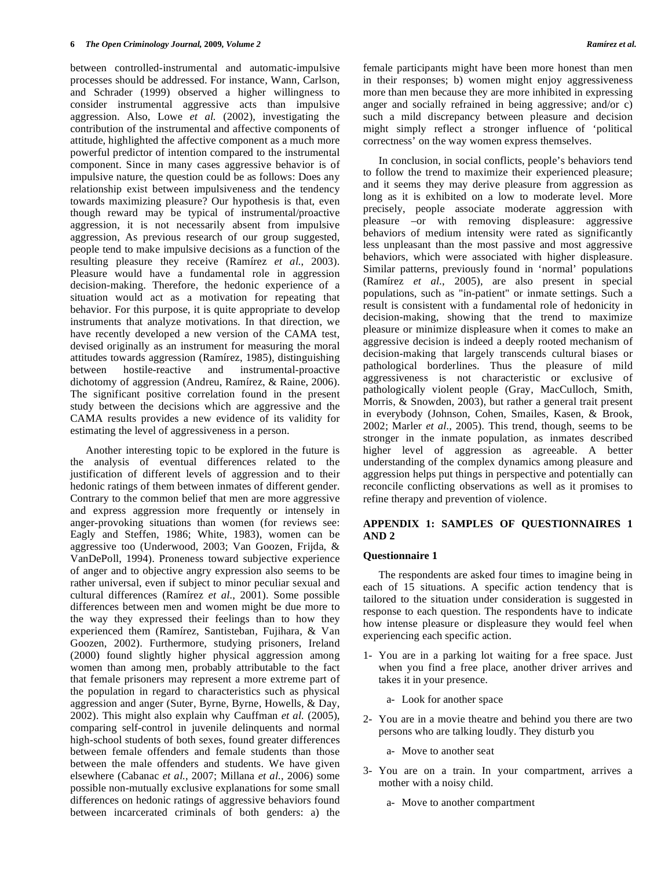between controlled-instrumental and automatic-impulsive processes should be addressed. For instance, Wann, Carlson, and Schrader (1999) observed a higher willingness to consider instrumental aggressive acts than impulsive aggression. Also, Lowe *et al.* (2002), investigating the contribution of the instrumental and affective components of attitude, highlighted the affective component as a much more powerful predictor of intention compared to the instrumental component. Since in many cases aggressive behavior is of impulsive nature, the question could be as follows: Does any relationship exist between impulsiveness and the tendency towards maximizing pleasure? Our hypothesis is that, even though reward may be typical of instrumental/proactive aggression, it is not necessarily absent from impulsive aggression, As previous research of our group suggested, people tend to make impulsive decisions as a function of the resulting pleasure they receive (Ramírez *et al.*, 2003). Pleasure would have a fundamental role in aggression decision-making. Therefore, the hedonic experience of a situation would act as a motivation for repeating that behavior. For this purpose, it is quite appropriate to develop instruments that analyze motivations. In that direction, we have recently developed a new version of the CAMA test, devised originally as an instrument for measuring the moral attitudes towards aggression (Ramírez, 1985), distinguishing between hostile-reactive and instrumental-proactive dichotomy of aggression (Andreu, Ramírez, & Raine, 2006). The significant positive correlation found in the present study between the decisions which are aggressive and the CAMA results provides a new evidence of its validity for estimating the level of aggressiveness in a person.

 Another interesting topic to be explored in the future is the analysis of eventual differences related to the justification of different levels of aggression and to their hedonic ratings of them between inmates of different gender. Contrary to the common belief that men are more aggressive and express aggression more frequently or intensely in anger-provoking situations than women (for reviews see: Eagly and Steffen, 1986; White, 1983), women can be aggressive too (Underwood, 2003; Van Goozen, Frijda, & VanDePoll, 1994). Proneness toward subjective experience of anger and to objective angry expression also seems to be rather universal, even if subject to minor peculiar sexual and cultural differences (Ramírez *et al.*, 2001). Some possible differences between men and women might be due more to the way they expressed their feelings than to how they experienced them (Ramírez, Santisteban, Fujihara, & Van Goozen, 2002). Furthermore, studying prisoners, Ireland (2000) found slightly higher physical aggression among women than among men, probably attributable to the fact that female prisoners may represent a more extreme part of the population in regard to characteristics such as physical aggression and anger (Suter, Byrne, Byrne, Howells, & Day, 2002). This might also explain why Cauffman *et al.* (2005), comparing self-control in juvenile delinquents and normal high-school students of both sexes, found greater differences between female offenders and female students than those between the male offenders and students. We have given elsewhere (Cabanac *et al.*, 2007; Millana *et al.*, 2006) some possible non-mutually exclusive explanations for some small differences on hedonic ratings of aggressive behaviors found between incarcerated criminals of both genders: a) the

female participants might have been more honest than men in their responses; b) women might enjoy aggressiveness more than men because they are more inhibited in expressing anger and socially refrained in being aggressive; and/or c) such a mild discrepancy between pleasure and decision might simply reflect a stronger influence of 'political correctness' on the way women express themselves.

 In conclusion, in social conflicts, people's behaviors tend to follow the trend to maximize their experienced pleasure; and it seems they may derive pleasure from aggression as long as it is exhibited on a low to moderate level. More precisely, people associate moderate aggression with pleasure –or with removing displeasure: aggressive behaviors of medium intensity were rated as significantly less unpleasant than the most passive and most aggressive behaviors, which were associated with higher displeasure. Similar patterns, previously found in 'normal' populations (Ramírez *et al.*, 2005), are also present in special populations, such as "in-patient" or inmate settings. Such a result is consistent with a fundamental role of hedonicity in decision-making, showing that the trend to maximize pleasure or minimize displeasure when it comes to make an aggressive decision is indeed a deeply rooted mechanism of decision-making that largely transcends cultural biases or pathological borderlines. Thus the pleasure of mild aggressiveness is not characteristic or exclusive of pathologically violent people (Gray, MacCulloch, Smith, Morris, & Snowden, 2003), but rather a general trait present in everybody (Johnson, Cohen, Smailes, Kasen, & Brook, 2002; Marler *et al.*, 2005). This trend, though, seems to be stronger in the inmate population, as inmates described higher level of aggression as agreeable. A better understanding of the complex dynamics among pleasure and aggression helps put things in perspective and potentially can reconcile conflicting observations as well as it promises to refine therapy and prevention of violence.

### **APPENDIX 1: SAMPLES OF QUESTIONNAIRES 1 AND 2**

#### **Questionnaire 1**

 The respondents are asked four times to imagine being in each of 15 situations. A specific action tendency that is tailored to the situation under consideration is suggested in response to each question. The respondents have to indicate how intense pleasure or displeasure they would feel when experiencing each specific action.

- 1- You are in a parking lot waiting for a free space. Just when you find a free place, another driver arrives and takes it in your presence.
	- a- Look for another space
- 2- You are in a movie theatre and behind you there are two persons who are talking loudly. They disturb you
	- a- Move to another seat
- 3- You are on a train. In your compartment, arrives a mother with a noisy child.
	- a- Move to another compartment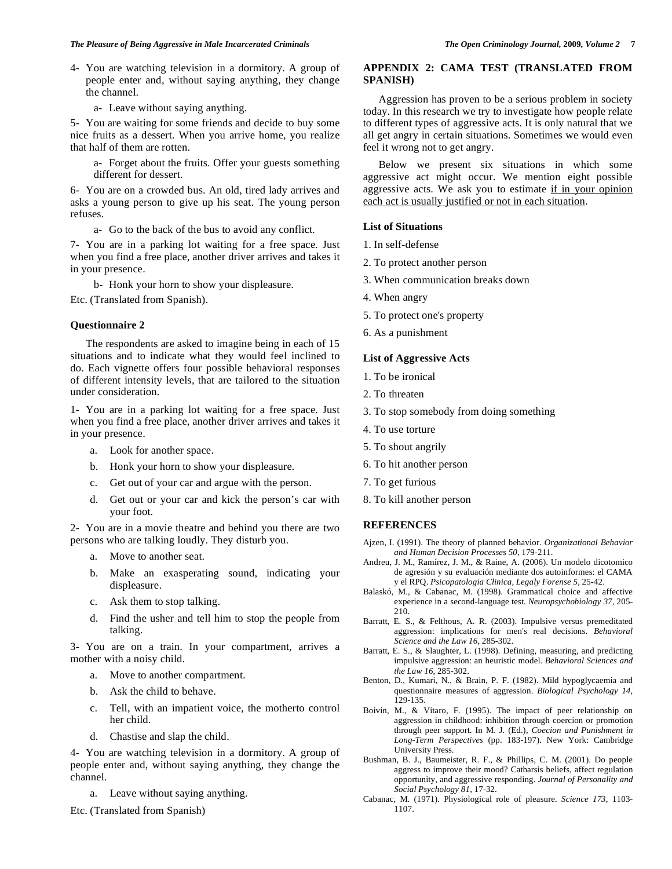- 4- You are watching television in a dormitory. A group of people enter and, without saying anything, they change the channel.
	- a- Leave without saying anything.

5- You are waiting for some friends and decide to buy some nice fruits as a dessert. When you arrive home, you realize that half of them are rotten.

a- Forget about the fruits. Offer your guests something different for dessert.

6- You are on a crowded bus. An old, tired lady arrives and asks a young person to give up his seat. The young person refuses.

a- Go to the back of the bus to avoid any conflict.

7- You are in a parking lot waiting for a free space. Just when you find a free place, another driver arrives and takes it in your presence.

b- Honk your horn to show your displeasure.

Etc. (Translated from Spanish).

#### **Questionnaire 2**

 The respondents are asked to imagine being in each of 15 situations and to indicate what they would feel inclined to do. Each vignette offers four possible behavioral responses of different intensity levels, that are tailored to the situation under consideration.

1- You are in a parking lot waiting for a free space. Just when you find a free place, another driver arrives and takes it in your presence.

- a. Look for another space.
- b. Honk your horn to show your displeasure.
- c. Get out of your car and argue with the person.
- d. Get out or your car and kick the person's car with your foot.

2- You are in a movie theatre and behind you there are two persons who are talking loudly. They disturb you.

- a. Move to another seat.
- b. Make an exasperating sound, indicating your displeasure.
- c. Ask them to stop talking.
- d. Find the usher and tell him to stop the people from talking.

3- You are on a train. In your compartment, arrives a mother with a noisy child.

- a. Move to another compartment.
- b. Ask the child to behave.
- c. Tell, with an impatient voice, the motherto control her child.
- d. Chastise and slap the child.

4- You are watching television in a dormitory. A group of people enter and, without saying anything, they change the channel.

a. Leave without saying anything.

Etc. (Translated from Spanish)

## **APPENDIX 2: CAMA TEST (TRANSLATED FROM SPANISH)**

 Aggression has proven to be a serious problem in society today. In this research we try to investigate how people relate to different types of aggressive acts. It is only natural that we all get angry in certain situations. Sometimes we would even feel it wrong not to get angry.

 Below we present six situations in which some aggressive act might occur. We mention eight possible aggressive acts. We ask you to estimate if in your opinion each act is usually justified or not in each situation.

#### **List of Situations**

- 1. In self-defense
- 2. To protect another person
- 3. When communication breaks down
- 4. When angry
- 5. To protect one's property
- 6. As a punishment

### **List of Aggressive Acts**

- 1. To be ironical
- 2. To threaten
- 3. To stop somebody from doing something
- 4. To use torture
- 5. To shout angrily
- 6. To hit another person
- 7. To get furious
- 8. To kill another person

## **REFERENCES**

- Ajzen, I. (1991). The theory of planned behavior. *Organizational Behavior and Human Decision Processes 50*, 179-211.
- Andreu, J. M., Ramírez, J. M., & Raine, A. (2006). Un modelo dicotomico de agresión y su evaluación mediante dos autoinformes: el CAMA y el RPQ. *Psicopatologia Clinica, Legaly Forense 5*, 25-42.
- Balaskó, M., & Cabanac, M. (1998). Grammatical choice and affective experience in a second-language test. *Neuropsychobiology 37*, 205- 210.
- Barratt, E. S., & Felthous, A. R. (2003). Impulsive versus premeditated aggression: implications for men's real decisions. *Behavioral Science and the Law 16*, 285-302.
- Barratt, E. S., & Slaughter, L. (1998). Defining, measuring, and predicting impulsive aggression: an heuristic model. *Behavioral Sciences and the Law 16*, 285-302.
- Benton, D., Kumari, N., & Brain, P. F. (1982). Mild hypoglycaemia and questionnaire measures of aggression. *Biological Psychology 14*, 129-135.
- Boivin, M., & Vitaro, F. (1995). The impact of peer relationship on aggression in childhood: inhibition through coercion or promotion through peer support. In M. J. (Ed.), *Coecion and Punishment in Long-Term Perspectives* (pp. 183-197). New York: Cambridge University Press.
- Bushman, B. J., Baumeister, R. F., & Phillips, C. M. (2001). Do people aggress to improve their mood? Catharsis beliefs, affect regulation opportunity, and aggressive responding. *Journal of Personality and Social Psychology 81*, 17-32.
- Cabanac, M. (1971). Physiological role of pleasure. *Science 173*, 1103- 1107.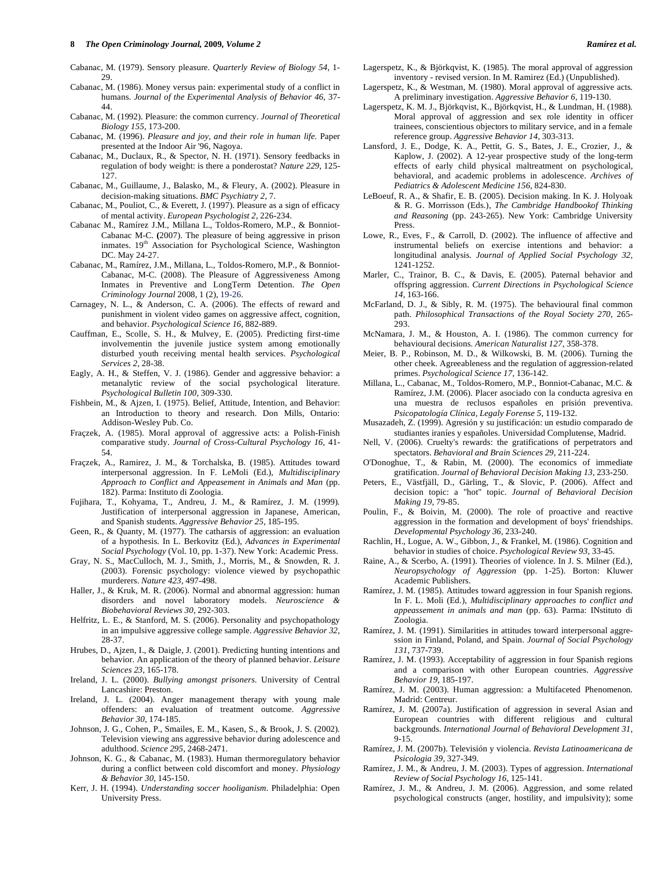#### **8** *The Open Criminology Journal,* **2009***, Volume 2 Ramírez et al.*

- Cabanac, M. (1986). Money versus pain: experimental study of a conflict in humans. *Journal of the Experimental Analysis of Behavior 46*, 37- 44.
- Cabanac, M. (1992). Pleasure: the common currency. *Journal of Theoretical Biology 155*, 173-200.
- Cabanac, M. (1996). *Pleasure and joy, and their role in human life.* Paper presented at the Indoor Air '96, Nagoya.
- Cabanac, M., Duclaux, R., & Spector, N. H. (1971). Sensory feedbacks in regulation of body weight: is there a ponderostat? *Nature 229*, 125- 127.
- Cabanac, M., Guillaume, J., Balasko, M., & Fleury, A. (2002). Pleasure in decision-making situations. *BMC Psychiatry 2*, 7.
- Cabanac, M., Pouliot, C., & Everett, J. (1997). Pleasure as a sign of efficacy of mental activity. *European Psychologist 2*, 226-234.
- Cabanac M., Ramírez J.M., Millana L., Toldos-Romero, M.P., & Bonniot-Cabanac M-C. **(**2007). The pleasure of being aggressive in prison inmates. 19<sup>th</sup> Association for Psychological Science, Washington DC. May 24-27.
- Cabanac, M., Ramírez, J.M., Millana, L., Toldos-Romero, M.P., & Bonniot-Cabanac, M-C. (2008). The Pleasure of Aggressiveness Among Inmates in Preventive and LongTerm Detention. *The Open Criminology Journal* 2008, 1 (2), 19-26.
- Carnagey, N. L., & Anderson, C. A. (2006). The effects of reward and punishment in violent video games on aggressive affect, cognition, and behavior. *Psychological Science 16*, 882-889.
- Cauffman, E., Scolle, S. H., & Mulvey, E. (2005). Predicting first-time involvementin the juvenile justice system among emotionally disturbed youth receiving mental health services. *Psychological Services 2*, 28-38.
- Eagly, A. H., & Steffen, V. J. (1986). Gender and aggressive behavior: a metanalytic review of the social psychological literature. *Psychological Bulletin 100*, 309-330.
- Fishbein, M., & Ajzen, I. (1975). Belief, Attitude, Intention, and Behavior: an Introduction to theory and research. Don Mills, Ontario: Addison-Wesley Pub. Co.
- Fraçzek, A. (1985). Moral approval of aggressive acts: a Polish-Finish comparative study. *Journal of Cross-Cultural Psychology 16*, 41- 54.
- Fraçzek, A., Ramirez, J. M., & Torchalska, B. (1985). Attitudes toward interpersonal aggression. In F. LeMoli (Ed.), *Multidisciplinary Approach to Conflict and Appeasement in Animals and Man* (pp. 182). Parma: Instituto di Zoologia.
- Fujihara, T., Kohyama, T., Andreu, J. M., & Ramírez, J. M. (1999). Justification of interpersonal aggression in Japanese, American, and Spanish students. *Aggressive Behavior 25*, 185-195.
- Geen, R., & Quanty, M. (1977). The catharsis of aggression: an evaluation of a hypothesis. In L. Berkovitz (Ed.), *Advances in Experimental Social Psychology* (Vol. 10, pp. 1-37). New York: Academic Press.
- Gray, N. S., MacCulloch, M. J., Smith, J., Morris, M., & Snowden, R. J. (2003). Forensic psychology: violence viewed by psychopathic murderers. *Nature 423*, 497-498.
- Haller, J., & Kruk, M. R. (2006). Normal and abnormal aggression: human disorders and novel laboratory models. *Neuroscience & Biobehavioral Reviews 30*, 292-303.
- Helfritz, L. E., & Stanford, M. S. (2006). Personality and psychopathology in an impulsive aggressive college sample. *Aggressive Behavior 32*, 28-37.
- Hrubes, D., Ajzen, I., & Daigle, J. (2001). Predicting hunting intentions and behavior. An application of the theory of planned behavior. *Leisure Sciences 23*, 165-178.
- Ireland, J. L. (2000). *Bullying amongst prisoners.* University of Central Lancashire: Preston.
- Ireland, J. L. (2004). Anger management therapy with young male offenders: an evaluation of treatment outcome. *Aggressive Behavior 30*, 174-185.
- Johnson, J. G., Cohen, P., Smailes, E. M., Kasen, S., & Brook, J. S. (2002). Television viewing ans aggressive behavior during adolescence and adulthood. *Science 295*, 2468-2471.
- Johnson, K. G., & Cabanac, M. (1983). Human thermoregulatory behavior during a conflict between cold discomfort and money. *Physiology & Behavior 30*, 145-150.
- Kerr, J. H. (1994). *Understanding soccer hooliganism*. Philadelphia: Open University Press.
- Lagerspetz, K., & Björkqvist, K. (1985). The moral approval of aggression inventory - revised version. In M. Ramirez (Ed.) (Unpublished).
- Lagerspetz, K., & Westman, M. (1980). Moral approval of aggressive acts. A preliminary investigation. *Aggressive Behavior 6*, 119-130.
- Lagerspetz, K. M. J., Björkqvist, K., Björkqvist, H., & Lundman, H. (1988). Moral approval of aggression and sex role identity in officer trainees, conscientious objectors to military service, and in a female reference group. *Aggressive Behavior 14*, 303-313.
- Lansford, J. E., Dodge, K. A., Pettit, G. S., Bates, J. E., Crozier, J., & Kaplow, J. (2002). A 12-year prospective study of the long-term effects of early child physical maltreatment on psychological, behavioral, and academic problems in adolescence. *Archives of Pediatrics & Adolescent Medicine 156*, 824-830.
- LeBoeuf, R. A., & Shafir, E. B. (2005). Decision making. In K. J. Holyoak & R. G. Morrisson (Eds.), *The Cambridge Handbookof Thinking and Reasoning* (pp. 243-265). New York: Cambridge University Press.
- Lowe, R., Eves, F., & Carroll, D. (2002). The influence of affective and instrumental beliefs on exercise intentions and behavior: a longitudinal analysis. *Journal of Applied Social Psychology 32*, 1241-1252.
- Marler, C., Trainor, B. C., & Davis, E. (2005). Paternal behavior and offspring aggression. *Current Directions in Psychological Science 14*, 163-166.
- McFarland, D. J., & Sibly, R. M. (1975). The behavioural final common path. *Philosophical Transactions of the Royal Society 270*, 265- 293.
- McNamara, J. M., & Houston, A. I. (1986). The common currency for behavioural decisions. *American Naturalist 127*, 358-378.
- Meier, B. P., Robinson, M. D., & Wilkowski, B. M. (2006). Turning the other cheek. Agreeableness and the regulation of aggression-related primes. *Psychological Science 17*, 136-142.
- Millana, L., Cabanac, M., Toldos-Romero, M.P., Bonniot-Cabanac, M.C. & Ramírez, J.M. (2006). Placer asociado con la conducta agresiva en una muestra de reclusos españoles en prisión preventiva. *Psicopatología Clínica, Legaly Forense 5*, 119-132.
- Musazadeh, Z. (1999). Agresión y su justificación: un estudio comparado de studiantes iraníes y españoles. Universidad Complutense, Madrid.
- Nell, V. (2006). Cruelty's rewards: the gratifications of perpetrators and spectators. *Behavioral and Brain Sciences 29*, 211-224.
- O'Donoghue, T., & Rabin, M. (2000). The economics of immediate gratification. *Journal of Behavioral Decision Making 13*, 233-250.
- Peters, E., Västfjäll, D., Gärling, T., & Slovic, P. (2006). Affect and decision topic: a "hot" topic. *Journal of Behavioral Decision Making 19*, 79-85.
- Poulin, F., & Boivin, M. (2000). The role of proactive and reactive aggression in the formation and development of boys' friendships. *Developmental Psychology 36*, 233-240.
- Rachlin, H., Logue, A. W., Gibbon, J., & Frankel, M. (1986). Cognition and behavior in studies of choice. *Psychological Review 93*, 33-45.
- Raine, A., & Scerbo, A. (1991). Theories of violence. In J. S. Milner (Ed.), *Neuropsychology of Aggression* (pp. 1-25). Borton: Kluwer Academic Publishers.
- Ramírez, J. M. (1985). Attitudes toward aggression in four Spanish regions. In F. L. Moli (Ed.), *Multidisciplinary approaches to conflict and appeassement in animals and man* (pp. 63). Parma: INstituto di Zoologia.
- Ramírez, J. M. (1991). Similarities in attitudes toward interpersonal aggression in Finland, Poland, and Spain. *Journal of Social Psychology 131*, 737-739.
- Ramírez, J. M. (1993). Acceptability of aggression in four Spanish regions and a comparison with other European countries. *Aggressive Behavior 19*, 185-197.
- Ramírez, J. M. (2003). Human aggression: a Multifaceted Phenomenon. Madrid: Centreur.
- Ramírez, J. M. (2007a). Justification of aggression in several Asian and European countries with different religious and cultural backgrounds. *International Journal of Behavioral Development 31*, 9-15.
- Ramírez, J. M. (2007b). Televisión y violencia. *Revista Latinoamericana de Psicologia 39*, 327-349.
- Ramírez, J. M., & Andreu, J. M. (2003). Types of aggression. *International Review of Social Psychology 16*, 125-141.
- Ramírez, J. M., & Andreu, J. M. (2006). Aggression, and some related psychological constructs (anger, hostility, and impulsivity); some